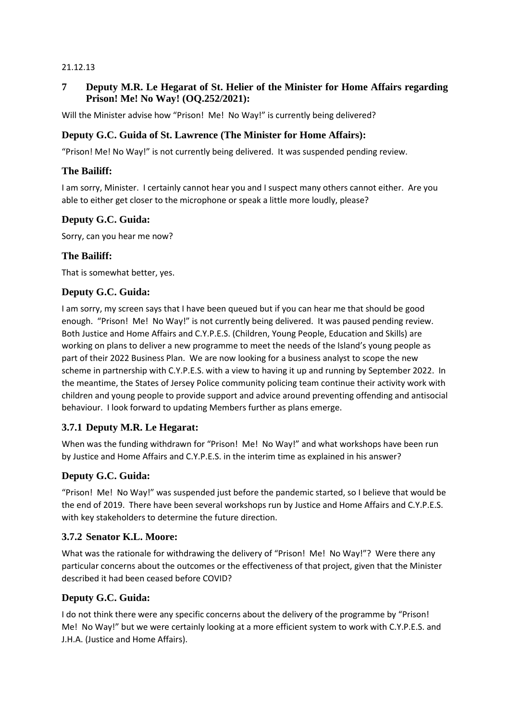#### 21.12.13

## **7 Deputy M.R. Le Hegarat of St. Helier of the Minister for Home Affairs regarding Prison! Me! No Way! (OQ.252/2021):**

Will the Minister advise how "Prison! Me! No Way!" is currently being delivered?

## **Deputy G.C. Guida of St. Lawrence (The Minister for Home Affairs):**

"Prison! Me! No Way!" is not currently being delivered. It was suspended pending review.

## **The Bailiff:**

I am sorry, Minister. I certainly cannot hear you and I suspect many others cannot either. Are you able to either get closer to the microphone or speak a little more loudly, please?

## **Deputy G.C. Guida:**

Sorry, can you hear me now?

## **The Bailiff:**

That is somewhat better, yes.

#### **Deputy G.C. Guida:**

I am sorry, my screen says that I have been queued but if you can hear me that should be good enough. "Prison! Me! No Way!" is not currently being delivered. It was paused pending review. Both Justice and Home Affairs and C.Y.P.E.S. (Children, Young People, Education and Skills) are working on plans to deliver a new programme to meet the needs of the Island's young people as part of their 2022 Business Plan. We are now looking for a business analyst to scope the new scheme in partnership with C.Y.P.E.S. with a view to having it up and running by September 2022. In the meantime, the States of Jersey Police community policing team continue their activity work with children and young people to provide support and advice around preventing offending and antisocial behaviour. I look forward to updating Members further as plans emerge.

## **3.7.1 Deputy M.R. Le Hegarat:**

When was the funding withdrawn for "Prison! Me! No Way!" and what workshops have been run by Justice and Home Affairs and C.Y.P.E.S. in the interim time as explained in his answer?

## **Deputy G.C. Guida:**

"Prison! Me! No Way!" was suspended just before the pandemic started, so I believe that would be the end of 2019. There have been several workshops run by Justice and Home Affairs and C.Y.P.E.S. with key stakeholders to determine the future direction.

## **3.7.2 Senator K.L. Moore:**

What was the rationale for withdrawing the delivery of "Prison! Me! No Way!"? Were there any particular concerns about the outcomes or the effectiveness of that project, given that the Minister described it had been ceased before COVID?

## **Deputy G.C. Guida:**

I do not think there were any specific concerns about the delivery of the programme by "Prison! Me! No Way!" but we were certainly looking at a more efficient system to work with C.Y.P.E.S. and J.H.A. (Justice and Home Affairs).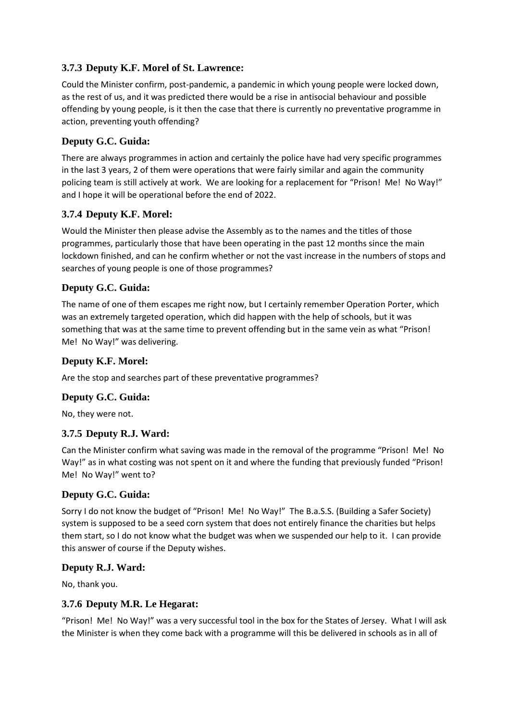# **3.7.3 Deputy K.F. Morel of St. Lawrence:**

Could the Minister confirm, post-pandemic, a pandemic in which young people were locked down, as the rest of us, and it was predicted there would be a rise in antisocial behaviour and possible offending by young people, is it then the case that there is currently no preventative programme in action, preventing youth offending?

# **Deputy G.C. Guida:**

There are always programmes in action and certainly the police have had very specific programmes in the last 3 years, 2 of them were operations that were fairly similar and again the community policing team is still actively at work. We are looking for a replacement for "Prison! Me! No Way!" and I hope it will be operational before the end of 2022.

# **3.7.4 Deputy K.F. Morel:**

Would the Minister then please advise the Assembly as to the names and the titles of those programmes, particularly those that have been operating in the past 12 months since the main lockdown finished, and can he confirm whether or not the vast increase in the numbers of stops and searches of young people is one of those programmes?

# **Deputy G.C. Guida:**

The name of one of them escapes me right now, but I certainly remember Operation Porter, which was an extremely targeted operation, which did happen with the help of schools, but it was something that was at the same time to prevent offending but in the same vein as what "Prison! Me! No Way!" was delivering.

## **Deputy K.F. Morel:**

Are the stop and searches part of these preventative programmes?

# **Deputy G.C. Guida:**

No, they were not.

# **3.7.5 Deputy R.J. Ward:**

Can the Minister confirm what saving was made in the removal of the programme "Prison! Me! No Way!" as in what costing was not spent on it and where the funding that previously funded "Prison! Me! No Way!" went to?

# **Deputy G.C. Guida:**

Sorry I do not know the budget of "Prison! Me! No Way!" The B.a.S.S. (Building a Safer Society) system is supposed to be a seed corn system that does not entirely finance the charities but helps them start, so I do not know what the budget was when we suspended our help to it. I can provide this answer of course if the Deputy wishes.

## **Deputy R.J. Ward:**

No, thank you.

# **3.7.6 Deputy M.R. Le Hegarat:**

"Prison! Me! No Way!" was a very successful tool in the box for the States of Jersey. What I will ask the Minister is when they come back with a programme will this be delivered in schools as in all of